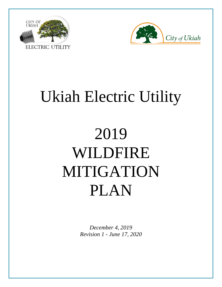



# Ukiah Electric Utility

# 2019 WILDFIRE MITIGATION PLAN

*December 4, 2019 Revision 1 - June 17, 2020*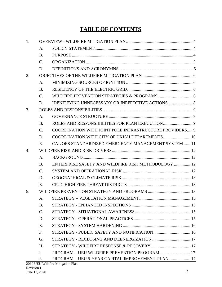# **TABLE OF CONTENTS**

| 1.             |                 |                                                         |  |
|----------------|-----------------|---------------------------------------------------------|--|
|                | A.              |                                                         |  |
|                | <b>B.</b>       |                                                         |  |
|                | $C_{\cdot}$     |                                                         |  |
|                | D.              |                                                         |  |
| 2.             |                 |                                                         |  |
|                | A.              |                                                         |  |
|                | <b>B.</b>       |                                                         |  |
|                | $C_{\cdot}$     |                                                         |  |
|                | D.              |                                                         |  |
| 3.             |                 |                                                         |  |
|                | A.              |                                                         |  |
|                | <b>B.</b>       |                                                         |  |
|                | $\mathcal{C}$ . | COORDINATION WITH JOINT POLE INFRASTRUCTURE PROVIDERS 9 |  |
|                | D.              | COORDINATION WITH CITY OF UKIAH DEPARTMENTS 10          |  |
|                | Ε.              | CAL OES STANDARDIZED EMERGENCY MANAGEMENT SYSTEM  11    |  |
| $\mathbf{4}$ . |                 |                                                         |  |
|                | A.              |                                                         |  |
|                | <b>B.</b>       | ENTERPRISE SAFETY AND WILDFIRE RISK METHODOLOGY  12     |  |
|                | $C_{\cdot}$     |                                                         |  |
|                | D.              |                                                         |  |
|                | Ε.              |                                                         |  |
| 5.             |                 |                                                         |  |
|                | A.              |                                                         |  |
|                | <b>B.</b>       |                                                         |  |
|                | C.              |                                                         |  |
|                | D.              |                                                         |  |
|                | E.              |                                                         |  |
|                | F.              |                                                         |  |
|                | G.              |                                                         |  |
|                | H.              |                                                         |  |
|                | $\mathbf{I}$ .  | PROGRAM – UEU WILDFIRE PREVENTION PROGRAM 17            |  |
|                | J.              | PROGRAM - UEU 5-YEAR CAPITAL IMPROVEMENT PLAN 17        |  |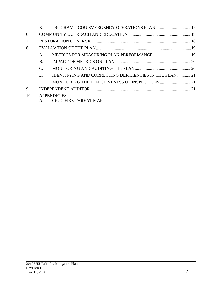| 6.  |             |                                                                |  |
|-----|-------------|----------------------------------------------------------------|--|
| 7.  |             |                                                                |  |
| 8.  |             |                                                                |  |
|     | A.          | METRICS FOR MEASURING PLAN PERFORMANCE  19                     |  |
|     | <b>B.</b>   |                                                                |  |
|     | C.          |                                                                |  |
|     | D.          | <b>IDENTIFYING AND CORRECTING DEFICIENCIES IN THE PLAN  21</b> |  |
|     | $E_{\rm c}$ |                                                                |  |
| 9.  |             |                                                                |  |
| 10. |             | <b>APPENDICIES</b><br>A. CPUC FIRE THREAT MAP                  |  |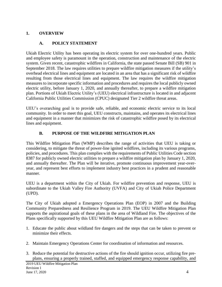#### <span id="page-3-0"></span>**1. OVERVIEW**

#### **A. POLICY STATEMENT**

<span id="page-3-1"></span>Ukiah Electric Utility has been operating its electric system for over one-hundred years. Public and employee safety is paramount in the operation, construction and maintenance of the electric system. Given recent, catastrophic wildfires in California, the state passed Senate Bill (SB) 901 in September 2018. The law requires utilities to prepare wildfire mitigation measures if the utility's overhead electrical lines and equipment are located in an area that has a significant risk of wildfire resulting from those electrical lines and equipment. The law requires the wildfire mitigation measures to incorporate specific information and procedures and requires the local publicly owned electric utility, before January 1, 2020, and annually thereafter, to prepare a wildfire mitigation plan. Portions of Ukiah Electric Utility's (UEU) electrical infrastructure is located in and adjacent California Public Utilities Commission (CPUC) designated Tier 2 wildfire threat areas.

UEU's overarching goal is to provide safe, reliable, and economic electric service to its local community. In order to meet this goal, UEU constructs, maintains, and operates its electrical lines and equipment in a manner that minimizes the risk of catastrophic wildfire posed by its electrical lines and equipment.

#### **B. PURPOSE OF THE WILDFIRE MITIGATION PLAN**

<span id="page-3-2"></span>This Wildfire Mitigation Plan (WMP) describes the range of activities that UEU is taking or considering, to mitigate the threat of power-line ignited wildfires, including its various programs, policies, and procedures. This plan complies with the requirements of Public Utilities Code section 8387 for publicly owned electric utilities to prepare a wildfire mitigation plan by January 1, 2020, and annually thereafter. The Plan will be iterative, promote continuous improvement year-overyear, and represent best efforts to implement industry best practices in a prudent and reasonable manner.

UEU is a department within the City of Ukiah. For wildfire prevention and response, UEU is subordinate to the Ukiah Valley Fire Authority (UVFA) and City of Ukiah Police Department (UPD).

The City of Ukiah adopted a Emergency Operations Plan (EOP) in 2007 and the Building Community Preparedness and Resilience Program in 2019. The UEU Wildfire Mitigation Plan supports the aspirational goals of these plans in the area of Wildland Fire. The objectives of the Plans specifically supported by this UEU Wildfire Mitigation Plan are as follows:

- 1. Educate the public about wildland fire dangers and the steps that can be taken to prevent or minimize their effects.
- 2. Maintain Emergency Operations Center for coordination of information and resources.
- 3. Reduce the potential for destructive actions of the fire should ignition occur, utilizing fire preplans, ensuring a properly trained, staffed, and equipped emergency response capability, and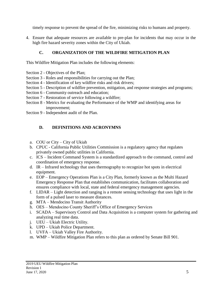timely response to prevent the spread of the fire, minimizing risks to humans and property.

4. Ensure that adequate resources are available to pre-plan for incidents that may occur in the high fire hazard severity zones within the City of Ukiah.

# **C. ORGANIZATION OF THE WILDFIRE MITIGATION PLAN**

<span id="page-4-0"></span>This Wildfire Mitigation Plan includes the following elements:

- Section 2 Objectives of the Plan;
- Section 3 Roles and responsibilities for carrying out the Plan;
- Section 4 Identification of key wildfire risks and risk drivers;
- Section 5 Description of wildfire prevention, mitigation, and response strategies and programs;
- Section 6 Community outreach and education;
- Section 7 Restoration of service following a wildfire;
- Section 8 Metrics for evaluating the Performance of the WMP and identifying areas for improvement;
- Section 9 Independent audit of the Plan.

# **D. DEFINITIONS AND ACRONYMNS**

- a. COU or City City of Ukiah
- b. CPUC California Public Utilities Commission is a regulatory agency that regulates privately owned public utilities in California.
- c. ICS Incident Command System is a standardized approach to the command, control and coordination of emergency response.
- d. IR Infrared technology that uses thermography to recognize hot spots in electrical equipment.
- e. EOP Emergency Operations Plan is a City Plan, formerly known as the Multi Hazard Emergency Response Plan that establishes communication, facilitates collaboration and ensures compliance with local, state and federal emergency management agencies.
- f. LIDAR Light detection and ranging is a remote sensing technology that uses light in the form of a pulsed laser to measure distances.
- g. MTA Mendocino Transit Authority
- h. OES Mendocino County Sheriff's Office of Emergency Services
- i. SCADA Supervisory Control and Data Acquisition is a computer system for gathering and analyzing real time data.
- j. UEU Ukiah Electric Utility.
- k. UPD Ukiah Police Department.
- l. UVFA Ukiah Valley Fire Authority.
- m. WMP Wildfire Mitigation Plan refers to this plan as ordered by Senate Bill 901.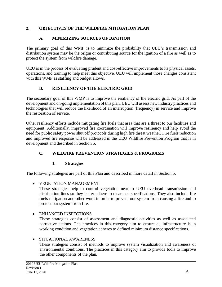#### <span id="page-5-0"></span>**2. OBJECTIVES OF THE WILDFIRE MITIGATION PLAN**

# **A. MINIMIZING SOURCES OF IGNITION**

<span id="page-5-1"></span>The primary goal of this WMP is to minimize the probability that UEU's transmission and distribution system may be the origin or contributing source for the ignition of a fire as well as to protect the system from wildfire damage.

UEU is in the process of evaluating prudent and cost-effective improvements to its physical assets, operations, and training to help meet this objective. UEU will implement those changes consistent with this WMP as staffing and budget allows.

# **B. RESILIENCY OF THE ELECTRIC GRID**

<span id="page-5-2"></span>The secondary goal of this WMP is to improve the resiliency of the electric grid. As part of the development and on-going implementation of this plan, UEU will assess new industry practices and technologies that will reduce the likelihood of an interruption (frequency) in service and improve the restoration of service.

Other resiliency efforts include mitigating fire fuels that area that are a threat to our facilities and equipment. Additionally, improved fire coordination will improve resiliency and help avoid the need for public safety power shut off protocols during high fire threat weather. Fire fuels reduction and improved fire response will be addressed in the UEU Wildfire Prevention Program that is in development and described in Section 5.

# <span id="page-5-3"></span>**C. WILDFIRE PREVENTION STRATEGIES & PROGRAMS**

# **1. Strategies**

The following strategies are part of this Plan and described in more detail in Section 5.

# • VEGETATION MANAGEMENT

These strategies help to control vegetation near to UEU overhead transmission and distribution lines so they better adhere to clearance specifications. They also include fire fuels mitigation and other work in order to prevent our system from causing a fire and to protect our system from fire.

# • ENHANCED INSPECTIONS

These strategies consist of assessment and diagnostic activities as well as associated corrective actions. The practices in this category aim to ensure all infrastructure is in working condition and vegetation adheres to defined minimum distance specifications.

#### • SITUATIONAL AWARENESS

These strategies consist of methods to improve system visualization and awareness of environmental conditions. The practices in this category aim to provide tools to improve the other components of the plan.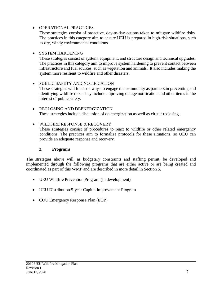#### • OPERATIONAL PRACTICES

These strategies consist of proactive, day-to-day actions taken to mitigate wildfire risks. The practices in this category aim to ensure UEU is prepared in high-risk situations, such as dry, windy environmental conditions.

#### • SYSTEM HARDENING

These strategies consist of system, equipment, and structure design and technical upgrades. The practices in this category aim to improve system hardening to prevent contact between infrastructure and fuel sources, such as vegetation and animals. It also includes making the system more resilient to wildfire and other disasters.

#### • PUBLIC SAFETY AND NOTIFICATION

These strategies will focus on ways to engage the community as partners in preventing and identifying wildfire risk. They include improving outage notification and other items in the interest of public safety.

• RECLOSING AND DEENERGIZATION These strategies include discussion of de-energization as well as circuit reclosing.

• WILDFIRE RESPONSE & RECOVERY

These strategies consist of procedures to react to wildfire or other related emergency conditions. The practices aim to formalize protocols for these situations, so UEU can provide an adequate response and recovery.

#### **2. Programs**

The strategies above will, as budgetary constraints and staffing permit, be developed and implemented through the following programs that are either active or are being created and coordinated as part of this WMP and are described in more detail in Section 5.

- UEU Wildfire Prevention Program (In development)
- UEU Distribution 5-year Capital Improvement Program
- COU Emergency Response Plan (EOP)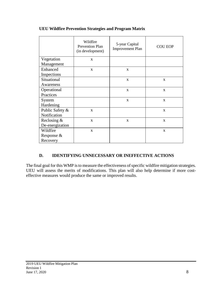|                 | Wildfire<br><b>Prevention Plan</b><br>(in development) | 5-year Capital<br><b>Improvement Plan</b> | <b>COU EOP</b> |
|-----------------|--------------------------------------------------------|-------------------------------------------|----------------|
| Vegetation      | $\mathbf{X}$                                           |                                           |                |
| Management      |                                                        |                                           |                |
| Enhanced        | $\mathbf{x}$                                           | X                                         |                |
| Inspections     |                                                        |                                           |                |
| Situational     |                                                        | X                                         | $\mathbf{X}$   |
| Awareness       |                                                        |                                           |                |
| Operational     |                                                        | X                                         | $\mathbf{X}$   |
| Practices       |                                                        |                                           |                |
| System          |                                                        | X                                         | $\mathbf{X}$   |
| Hardening       |                                                        |                                           |                |
| Public Safety & | $\mathbf{X}$                                           |                                           | $\mathbf{X}$   |
| Notification    |                                                        |                                           |                |
| Reclosing $\&$  | $\mathbf{x}$                                           | $\mathbf{X}$                              | $\mathbf{X}$   |
| De-energization |                                                        |                                           |                |
| Wildfire        | $\mathbf{x}$                                           |                                           | $\mathbf{x}$   |
| Response &      |                                                        |                                           |                |
| Recovery        |                                                        |                                           |                |

#### **UEU Wildfire Prevention Strategies and Program Matrix**

#### **D. IDENTIFYING UNNECESSARY OR INEFFECTIVE ACTIONS**

<span id="page-7-0"></span>The final goal for this WMP is to measure the effectiveness of specific wildfire mitigation strategies. UEU will assess the merits of modifications. This plan will also help determine if more costeffective measures would produce the same or improved results.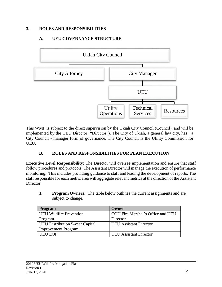#### <span id="page-8-0"></span>**3. ROLES AND RESPONSIBILITIES**

#### **A. UEU GOVERNANCE STRUCTURE**

<span id="page-8-1"></span>

This WMP is subject to the direct supervision by the Ukiah City Council (Council), and will be implemented by the UEU Director ("Director"). The City of Ukiah, a general law city, has a City Council - manager form of governance. The City Council is the Utility Commission for UEU.

#### **B. ROLES AND RESPONSIBILITIES FOR PLAN EXECUTION**

<span id="page-8-2"></span>**Executive Level Responsibility:** The Director will oversee implementation and ensure that staff follow procedures and protocols. The Assistant Director will manage the execution of performance monitoring. This includes providing guidance to staff and leading the development of reports. The staff responsible for each metric area will aggregate relevant metrics at the direction of the Assistant Director.

**1. Program Owners:** The table below outlines the current assignments and are subject to change.

| Program                                | ()wner                            |
|----------------------------------------|-----------------------------------|
| <b>UEU Wildfire Prevention</b>         | COU Fire Marshal's Office and UEU |
| Program                                | Director                          |
| <b>UEU Distribution 5-year Capital</b> | <b>UEU</b> Assistant Director     |
| <b>Improvement Program</b>             |                                   |
| <b>UEU EOP</b>                         | <b>UEU</b> Assistant Director     |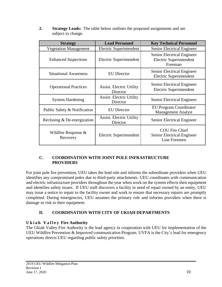**2. Strategy Leads:** The table below outlines the proposed assignments and are subject to change.

| <b>Strategy</b>                    | <b>Lead Personnel</b>                       | <b>Key Technical Personnel</b>                                      |
|------------------------------------|---------------------------------------------|---------------------------------------------------------------------|
| <b>Vegetation Management</b>       | Electric Superintendent                     | Senior Electrical Engineer                                          |
| <b>Enhanced Inspections</b>        | Electric Superintendent                     | Senior Electrical Engineer<br>Electric Superintendent<br>Foreman    |
| <b>Situational Awareness</b>       | <b>EU</b> Director                          | Senior Electrical Engineer<br><b>Electric Superintendent</b>        |
| <b>Operational Practices</b>       | <b>Assist. Electric Utility</b><br>Director | Senior Electrical Engineer<br><b>Electric Superintendent</b>        |
| <b>System Hardening</b>            | <b>Assist. Electric Utility</b><br>Director | Senior Electrical Engineer                                          |
| Public Safety & Notification       | <b>EU</b> Director                          | <b>EU Program Coordinator</b><br><b>Management Analyst</b>          |
| Reclosing & De-energization        | <b>Assist. Electric Utility</b><br>Director | Senior Electrical Engineer                                          |
| Wildfire Response $\&$<br>Recovery | Electric Superintendent                     | <b>COU Fire Chief</b><br>Senior Electrical Engineer<br>Line Foremen |

#### **C. COORDINATION WITH JOINT POLE INFRASTRUCTURE PROVIDERS**

For joint pole fire prevention, UEU takes the lead role and informs the subordinate providers when UEU identifies any compromised poles due to third-party attachments. UEU coordinates with communication and electric infrastructure providers throughout the year when work on the system effects their equipment and identifies safety issues. If UEU staff discovers a facility in need of repair owned by an entity, UEU may issue a notice to repair to the facility owner and work to ensure that necessary repairs are promptly completed. During emergencies, UEU assumes the primary role and informs providers when there is damage or risk to their equipment.

# **D. COORDINATION WITH CITY OF UKIAH DEPARTMENTS**

#### **U k i a h V a l l e y Fire Authority**

The Ukiah Valley Fire Authority is the lead agency in cooperation with UEU for implementation of the UEU Wildfire Prevention & Improved communication Program. UVFA is the City's lead for emergency operations directs UEU regarding public safety priorities.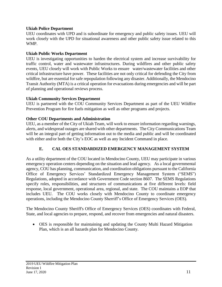#### **Ukiah Police Department**

UEU coordinates with UPD and is subordinate for emergency and public safety issues. UEU will work closely with the UPD for situational awareness and other public safety issue related to this WMP.

#### **Ukiah Public Works Department**

UEU is investigating opportunities to harden the electrical system and increase survivability for traffic control, water and wastewater infrastructures. During wildfires and other public safety events, UEU closely will work with Public Works to ensure water/wastewater facilities and other critical infrastructure have power. These facilities are not only critical for defending the City from wildfire, but are essential for safe repopulation following any disaster. Additionally, the Mendocino Transit Authority (MTA) is a critical operation for evacuations during emergencies and will be part of planning and operational reviews process.

#### **Ukiah Community Services Department**

UEU is partnered with the COU Community Services Department as part of the UEU Wildfire Prevention Program for fire fuels mitigation as well as other programs and projects.

#### **Other COU Departments and Administration**

UEU, as a member of the City of Ukiah Team, will work to ensure information regarding warnings, alerts, and widespread outages are shared with other departments. The City Communications Team will be an integral part of getting information out to the media and public and will be coordinated with either and/or both the City's EOC as well as any Incident Command in place.

#### **E. CAL OES STANDARDIZED EMERGENCY MANAGEMENT SYSTEM**

As a utility department of the COU located in Mendocino County, UEU may participate in various emergency operation centers depending on the situation and lead agency. As a local governmental agency, COU has planning, communication, and coordination obligations pursuant to the California Office of Emergency Services' Standardized Emergency Management System ("SEMS") Regulations, adopted in accordance with Government Code section 8607. The SEMS Regulations specify roles, responsibilities, and structures of communications at five different levels: field response, local government, operational area, regional, and state. The COU maintains a EOP that includes UEU. The COU works closely with Mendocino County to coordinate emergency operations, including the Mendocino County Sherriff's Office of Emergency Services (OES).

The Mendocino County Sheriff's Office of Emergency Services (OES) coordinates with Federal, State, and local agencies to prepare, respond, and recover from emergencies and natural disasters.

• OES is responsible for maintaining and updating the County Multi Hazard Mitigation Plan, which is an all hazards plan for Mendocino County.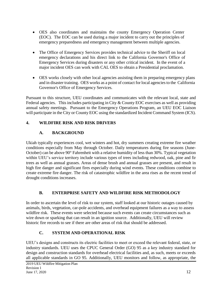- OES also coordinates and maintains the county Emergency Operation Center (EOC). The EOC can be used during a major incident to carry out the principles of emergency preparedness and emergency management between multiple agencies.
- The Office of Emergency Services provides technical advice to the Sheriff on local emergency declarations and his direct link to the California Governor's Office of Emergency Services during disasters or any other critical incident. In the event of a major incident OES can work with CAL OES to obtain a Presidential proclamation.
- OES works closely with other local agencies assisting them in preparing emergency plans and in disaster training. OES works as a point of contact for local agenciesto the California Governor's Office of Emergency Services.

Pursuant to this structure, UEU coordinates and communicates with the relevant local, state and Federal agencies. This includes participating in City & County EOC exercises as well as providing annual safety meetings. Pursuant to the Emergency Operations Program, an UEU EOC Liaison will participate in the City or County EOC using the standardized Incident Command System (ICS).

# <span id="page-11-0"></span>**4. WILDFIRE RISK AND RISK DRIVERS**

# **A. BACKGROUND**

Ukiah typically experiences cool, wet winters and hot, dry summers creating extreme fire weather conditions especially from May through October. Daily temperatures during fire seasons (June-October) can be above 90° Fahrenheit with a relative humidity of less than 30%. Typical vegetation within UEU's service territory include various types of trees including redwood, oak, pine and fir trees as well as annual grasses. Areas of dense brush and annual grasses are present, and result in high fire danger and significant fires especially during wind events. These conditions combine to create extreme fire danger. The risk of catastrophic wildfire in the area rises as the recent trend of drought conditions increases.

#### **B. ENTERPRISE SAFETY AND WILDFIRE RISK METHODOLOGY**

In order to ascertain the level of risk to our system, staff looked at our historic outages caused by animals, birds, vegetation, car-pole accidents, and overhead equipment failures as a way to assess wildfire risk. These events were selected because such events can create circumstances such as wire down or sparking that can result in an ignition source. Additionally, UEU will review historic fire records to see if there are other areas of risk that should be addressed.

# **C. SYSTEM AND OPERATIONAL RISK**

UEU's designs and constructs its electric facilities to meet or exceed the relevant federal, state, or industry standards. UEU uses the CPUC General Order (GO) 95 as a key industry standard for design and construction standards for overhead electrical facilities and, as such, meets or exceeds all applicable standards in GO 95. Additionally, UEU monitors and follow, as appropriate, the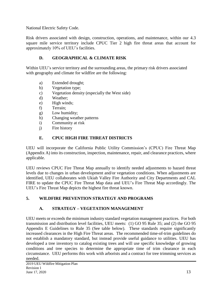National Electric Safety Code.

Risk drivers associated with design, construction, operations, and maintenance, within our 4.3 square mile service territory include CPUC Tier 2 high fire threat areas that account for approximately 10% of UEU's facilities.

# **D. GEOGRAPHICAL & CLIMATE RISK**

Within UEU's service territory and the surrounding areas, the primary risk drivers associated with geography and climate for wildfire are the following:

- a) Extended drought;
- b) Vegetation type;
- c) Vegetation density (especially the West side)
- d) Weather;
- e) High winds;
- f) Terrain;
- g) Low humidity;
- h) Changing weather patterns
- i) Community at risk
- j) Fire history

# **E. CPUC HIGH FIRE THREAT DISTRICTS**

UEU will incorporate the California Public Utility Commission's (CPUC) Fire Threat Map (Appendix A) into its construction, inspection, maintenance, repair, and clearance practices, where applicable.

UEU reviews CPUC Fire Threat Map annually to identify needed adjustments to hazard threat levels due to changes in urban development and/or vegetation conditions. When adjustments are identified, UEU collaborates with Ukiah Valley Fire Authority and City Departments and CAL FIRE to update the CPUC Fire Threat Map data and UEU's Fire Threat Map accordingly. The UEU's Fire Threat Map depicts the highest fire threat known.

# <span id="page-12-0"></span>**5. WILDFIRE PREVENTION STRATEGY AND PROGRAMS**

# **A. STRATEGY – VEGETATION MANAGEMENT**

UEU meets or exceeds the minimum industry standard vegetation management practices. For both transmission and distribution level facilities, UEU meets: (1) GO 95 Rule 35; and (2) the GO 95 Appendix E Guidelines to Rule 35 (See table below). These standards require significantly increased clearances in the High Fire Threat areas. The recommended time-of-trim guidelines do not establish a mandatory standard, but instead provide useful guidance to utilities. UEU has developed a tree inventory to catalog existing trees and will use specific knowledge of growing conditions and tree species to determine the appropriate time of trim clearance in each circumstance. UEU performs this work with arborists and a contract for tree trimming services as needed.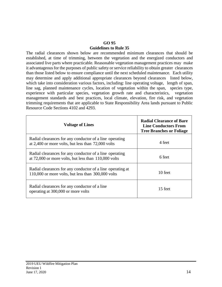#### **GO 95**

#### **Guidelines to Rule 35**

The radial clearances shown below are recommended minimum clearances that should be established, at time of trimming, between the vegetation and the energized conductors and associated live parts where practicable. Reasonable vegetation management practices may make it advantageous for the purposes of public safety or service reliability to obtain greater clearances than those listed below to ensure compliance until the next scheduled maintenance. Each utility may determine and apply additional appropriate clearances beyond clearances listed below, which take into consideration various factors, including: line operating voltage, length of span, line sag, planned maintenance cycles, location of vegetation within the span, species type, experience with particular species, vegetation growth rate and characteristics, vegetation management standards and best practices, local climate, elevation, fire risk, and vegetation trimming requirements that are applicable to State Responsibility Area lands pursuant to Public Resource Code Sections 4102 and 4293.

| <b>Voltage of Lines</b>                                                                                             | <b>Radial Clearance of Bare</b><br><b>Line Conductors From</b><br><b>Tree Branches or Foliage</b> |
|---------------------------------------------------------------------------------------------------------------------|---------------------------------------------------------------------------------------------------|
| Radial clearances for any conductor of a line operating<br>at 2,400 or more volts, but less than 72,000 volts       | 4 feet                                                                                            |
| Radial clearances for any conductor of a line operating<br>at $72,000$ or more volts, but less than $110,000$ volts | 6 feet                                                                                            |
| Radial clearances for any conductor of a line operating at<br>110,000 or more volts, but less than 300,000 volts    | 10 feet                                                                                           |
| Radial clearances for any conductor of a line<br>operating at 300,000 or more volts                                 | 15 feet                                                                                           |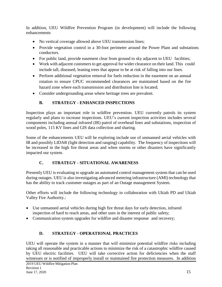In addition, UEU Wildfire Prevention Program (in development) will include the following enhancements

- No vertical coverage allowed above UEU transmission lines;
- Provide vegetation control in a 30-foot perimeter around the Power Plant and substations conductors.
- For public land, provide easement clear from ground to sky adjacent to UEU facilities;
- Work with adjacent customers to get approval for wider clearance on their land. This could include tall, diseased, leaning trees that appear to be at risk of falling into our lines.
- Perform additional vegetation removal for fuels reduction in the easement on an annual rotation to ensure CPUC recommended clearances are maintained based on the fire hazard zone where each transmission and distribution line is located;
- Consider undergrounding areas where heritage trees are prevalent.

# **B. STRATEGY - ENHANCED INSPECTIONS**

Inspection plays an important role in wildfire prevention. UEU currently patrols its system regularly and plans to increase inspections. UEU's current inspection activities includes several components including annual infrared (IR) patrol of overhead lines and substations, inspection of wood poles, 115 KV lines and GIS data collection and sharing.

Some of the enhancements UEU will be exploring include use of unmanned aerial vehicles with IR and possibly LIDAR (light detection and ranging) capability. The frequency of inspections will be increased in the high fire threat areas and when storms or other disasters have significantly impacted our system.

# **C. STRATEGY - SITUATIONAL AWARENESS**

Presently UEU is evaluating to upgrade an automated control management system that can be used during outages. UEU is also investigating advanced metering infrastructure (AMI) technology that has the ability to track customer outages as part of an Outage management System.

Other efforts will include the following technology in collaboration with Ukiah PD and Ukiah Valley Fire Authority.:

- Use unmanned aerial vehicles during high fire threat days for early detection, infrared inspection of hard to reach areas, and other uses in the interest of public safety;
- Communication system upgrades for wildfire and disaster response and recovery;

# **D. STRATEGY - OPERATIONAL PRACTICES**

UEU will operate the system in a manner that will minimize potential wildfire risks including taking all reasonable and practicable actions to minimize the risk of a catastrophic wildfire caused by UEU electric facilities. UEU will take corrective action for deficiencies when the staff witnesses or is notified of improperly install or maintained fire protection measures. In addition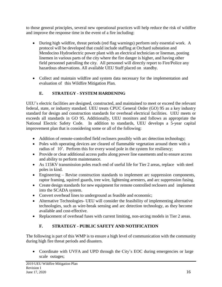to those general principles, several new operational practices will help reduce the risk of wildfire and improve the response time in the event of a fire including:

- During high wildfire, threat periods (red flag warnings) perform only essential work. A protocol will be developed that could include staffing at Orchard substation and Mendocino Hydroelectric power plant with an electrical technician or lineman, posting linemen in various parts of the city where the fire danger is higher, and having other field personnel patrolling the city. All personnel will directly report to Fire/Police any hazardous observations. All available UEU Staff placed on standby.
- Collect and maintain wildfire and system data necessary for the implementation and evaluation of this Wildfire Mitigation Plan.

# **E. STRATEGY - SYSTEM HARDENING**

UEU's electric facilities are designed, constructed, and maintained to meet or exceed the relevant federal, state, or industry standard. UEU treats CPUC General Order (GO) 95 as a key industry standard for design and construction standards for overhead electrical facilities. UEU meets or exceeds all standards in GO 95. Additionally, UEU monitors and follows as appropriate the National Electric Safety Code. In addition to standards, UEU develops a 5-year capital improvement plan that is considering some or all of the following:

- Addition of remote-controlled field reclosers possibly with arc detection technology;
- Poles with operating devices are cleared of flammable vegetation around them with a radius of 10'. Perform this for every wood pole in the system for resiliency;
- Provide or clear additional access paths along power line easements and to ensure access and ability to perform maintenance.
- As 115KV transmission poles reach end of useful life for Tier 2 areas, replace with steel poles in kind.
- Engineering Revise construction standards to implement arc suppression components, raptor framing, squirrel guards, tree wire, lightening arresters, and arc suppression fusing.
- Create design standards for new equipment for remote controlled reclosers and implement into the SCADA system.
- Convert overhead lines to underground as feasible and economic;
- Alternative Technologies- UEU will consider the feasibility of implementing alternative technologies, such as wire-break sensing and arc detection technology, as they become available and cost-effective.
- Replacement of overhead fuses with current limiting, non-arcing models in Tier 2 areas.

#### **F. STRATEGY - PUBLIC SAFETY AND NOTIFICATION**

The following is part of this WMP is to ensure a high level of communication with the community during high fire threat periods and disasters.

Coordinate with UVFA and UPD through the City's EOC during emergencies or large scale outages;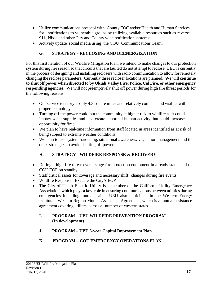- Utilize communications protocol with County EOC and/or Health and Human Services for notifications to vulnerable groups by utilizing available resources such as reverse 911, Nixle and other City and County wide notification systems;
- Actively update social media using the COU Communications Team;

# **G. STRATEGY - RECLOSING AND DEENERGIZATION**

For this first iteration of our Wildfire Mitigation Plan, we intend to make changes to our protection system during fire season so that circuits that are faulted do not attempt to reclose. UEU is currently in the process of designing and installing reclosers with radio communication to allow for remotely changing the reclose parameters. Currently three recloser locations are planned. **We will continue to shut off power when directed to by Ukiah Valley Fire, Police, Cal Fire, or other emergency responding agencies.** We will not preemptively shut off power during high fire threat periods for the following reasons:

- Our service territory is only 4.3 square miles and relatively compact and visible with proper technology;
- Turning off the power could put the community at higher risk to wildfire as it could impact water supplies and also create abnormal human activity that could increase opportunity for fire;
- We plan to have real-time information from staff located in areas identified as at risk of being subject to extreme weather conditions;
- We plan to use system hardening, situational awareness, vegetation management and the other strategies to avoid shutting off power.

# **H. STRATEGY - WILDFIRE RESPONSE & RECOVERY**

- During a high fire threat event, stage fire protection equipment in a ready status and the COU EOP on standby;
- Staff critical assets for coverage and necessary shift changes during fire events;
- Wildfire Response: Execute the City's EOP
- The City of Ukiah Electric Utility is a member of the California Utility Emergency Association, which plays a key role in ensuring communications between utilities during emergencies including mutual aid. UEU also participate in the Western Energy Institute's Western Region Mutual Assistance Agreement, which is a mutual assistance agreement covering utilities across a number of western states.

#### **I. PROGRAM – UEU WILDFIRE PREVENTION PROGRAM (In development)**

- **J. PROGRAM – UEU 5-year Capital Improvement Plan**
- **K. PROGRAM – COU EMERGENCY OPERATIONS PLAN**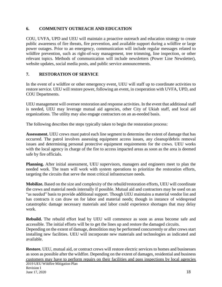#### <span id="page-17-0"></span>**6. COMMUNITY OUTREACH AND EDUCATION**

COU, UVFA, UPD and UEU will maintain a proactive outreach and education strategy to create public awareness of fire threats, fire prevention, and available support during a wildfire or large power outages. Prior to an emergency, communication will include regular messages related to wildfire prevention, such as right-of-way management, tree trimming, line inspection, or other relevant topics. Methods of communication will include newsletters (Power Line Newsletter), website updates, social media posts, and public service announcements.

#### <span id="page-17-1"></span>**7. RESTORATION OF SERVICE**

In the event of a wildfire or other emergency event, UEU will staff up to coordinate activities to restore service. UEU will restore power, following an event, in cooperation with UVFA, UPD, and COU Departments.

UEU management will oversee restoration and response activities. In the event that additional staff is needed, UEU may leverage mutual aid agencies, other City of Ukiah staff, and local aid organizations. The utility may also engage contractors on an as-needed basis.

The following describes the steps typically taken to begin the restoration process:

**Assessment.** UEU crews must patrol each line segment to determine the extent of damage that has occurred. The patrol involves assessing equipment access issues, any cleanup/debris removal issues and determining personal protective equipment requirements for the crews. UEU works with the local agency in charge of the fire to access impacted areas as soon as the area is deemed safe by fire officials.

**Planning.** After initial assessment, UEU supervisors, managers and engineers meet to plan the needed work. The team will work with system operations to prioritize the restoration efforts, targeting the circuits that serve the most critical infrastructure needs.

**Mobilize.** Based on the size and complexity of the rebuild/restoration efforts, UEU will coordinate the crews and material needs internally if possible. Mutual aid and contractors may be used on an "as needed" basis to provide additional support. Though UEU maintains a material vendor list and has contracts it can draw on for labor and material needs; though in instance of widespread catastrophic damage necessary materials and labor could experience shortages that may delay work.

**Rebuild.** The rebuild effort lead by UEU will commence as soon as areas become safe and accessible. The initial efforts will be to get the lines up and restore the damaged circuits. Depending on the extent of damage, demolition may be performed concurrently or after crews start installing new facilities. UEU will incorporate new materials and technologies as indicated and available.

2019 UEU Wildfire Mitigation Plan Revision 1 **Restore.** UEU, mutual aid, or contract crews will restore electric services to homes and businesses as soon as possible after the wildfire. Depending on the extent of damages, residential and business customers may have to perform repairs on their facilities and pass inspections by local agencies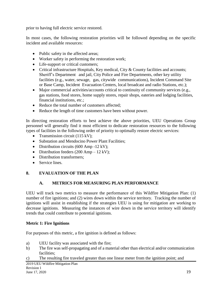prior to having full electric service restored.

In most cases, the following restoration priorities will be followed depending on the specific incident and available resources:

- Public safety in the affected areas;
- Worker safety in performing the restoration work;
- Life-support or critical customers:
- Critical infrastructure Hospitals, Key medical, City & County facilities and accounts; Sheriff's Department and jail, City Police and Fire Departments, other key utility facilities (e.g., water, sewage, gas, citywide communications), Incident Command Site or Base Camp, Incident Evacuation Centers, local broadcast and radio Stations, etc.);
- Major commercial activities/accounts critical to continuity of community services (e.g., gas stations, food stores, home supply stores, repair shops, eateries and lodging facilities, financial institutions, etc.;
- Reduce the total number of customers affected;
- Reduce the length of time customers have been without power.

In directing restoration efforts to best achieve the above priorities, UEU Operations Group personnel will generally find it most efficient to dedicate restoration resources to the following types of facilities in the following order of priority to optimally restore electric services:

- Transmission circuit (115 kV);
- Substation and Mendocino Power Plant Facilities;
- Distribution circuits (600 Amp -12 kV);
- Distribution feeders  $(200 \text{ Amp} 12 \text{ kV})$ ;
- Distribution transformers;
- Service lines.

#### <span id="page-18-0"></span>**8. EVALUATION OF THE PLAN**

#### **A. METRICS FOR MEASURING PLAN PERFORMANCE**

<span id="page-18-1"></span>UEU will track two metrics to measure the performance of this Wildfire Mitigation Plan: (1) number of fire ignitions; and (2) wires down within the service territory. Tracking the number of ignitions will assist in establishing if the strategies UEU is using for mitigation are working to decrease ignitions. Measuring the instances of wire down in the service territory will identify trends that could contribute to potential ignitions.

#### **Metric 1: Fire Ignitions**

For purposes of this metric, a fire ignition is defined as follows:

- a) UEU facility was associated with the fire;
- b) The fire was self-propagating and of a material other than electrical and/or communication facilities;
- c) The resulting fire traveled greater than one linear meter from the ignition point; and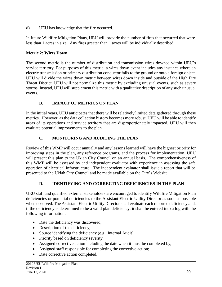d) UEU has knowledge that the fire occurred.

In future Wildfire Mitigation Plans, UEU will provide the number of fires that occurred that were less than 1 acres in size. Any fires greater than 1 acres will be individually described.

#### **Metric 2: Wires Down**

The second metric is the number of distribution and transmission wires downed within UEU's service territory. For purposes of this metric, a wires down event includes any instance where an electric transmission or primary distribution conductor falls to the ground or onto a foreign object. UEU will divide the wires down metric between wires down inside and outside of the High Fire Threat District. UEU will not normalize this metric by excluding unusual events, such as severe storms. Instead, UEU will supplement this metric with a qualitative description of any such unusual events.

#### **B. IMPACT OF METRICS ON PLAN**

<span id="page-19-0"></span>In the initial years, UEU anticipates that there will be relatively limited data gathered through these metrics. However, as the data collection history becomes more robust, UEU will be able to identify areas of its operations and service territory that are disproportionately impacted. UEU will then evaluate potential improvements to the plan.

# **C. MONITORING AND AUDITING THE PLAN**

<span id="page-19-1"></span>Review of this WMP will occur annually and any lessons learned will have the highest priority for improving steps in the plan, any reference programs, and the process for implementation. UEU will present this plan to the Ukiah City Council on an annual basis. The comprehensiveness of this WMP will be assessed by and independent evaluator with experience in assessing the safe operation of electrical infrastructure. The independent evaluator shall issue a report that will be presented to the Ukiah City Council and be made available on the City's Website.

#### **D. IDENTIFYING AND CORRECTING DEFICIENCIES IN THE PLAN**

<span id="page-19-2"></span>UEU staff and qualified external stakeholders are encouraged to identify Wildfire Mitigation Plan deficiencies or potential deficiencies to the Assistant Electric Utility Director as soon as possible when observed. The Assistant Electric Utility Director shall evaluate each reported deficiency and, if the deficiency is determined to be a valid plan deficiency, it shall be entered into a log with the following information:

- Date the deficiency was discovered;
- Description of the deficiency;
- Source identifying the deficiency (e.g., Internal Audit);
- Priority based on deficiency severity;
- Assigned corrective action including the date when it must be completed by;
- Assigned staff responsible for completing the corrective action;
- Date corrective action completed.